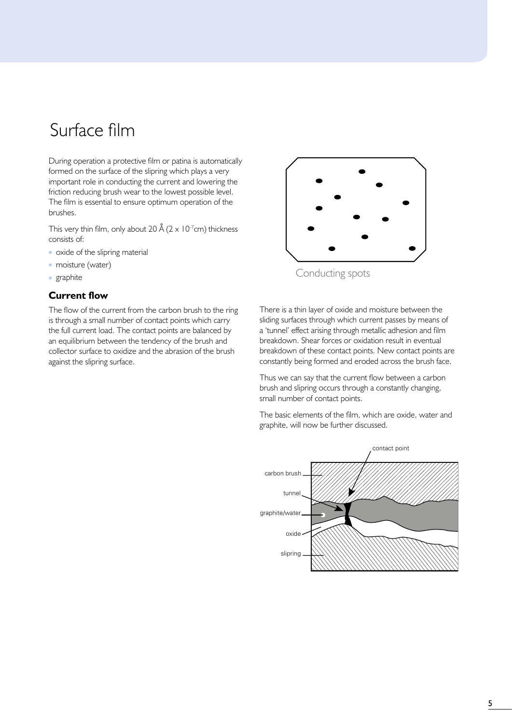# Surface film

During operation a protective film or patina is automatically formed on the surface of the slipring which plays a very important role in conducting the current and lowering the friction reducing brush wear to the lowest possible level. The film is essential to ensure optimum operation of the brushes.

This very thin film, only about 20 Å ( $2 \times 10^{-7}$ cm) thickness consists of:

- oxide of the slipring material
- moisture (water)
- graphite

### **Current flow**

The flow of the current from the carbon brush to the ring is through a small number of contact points which carry the full current load. The contact points are balanced by an equilibrium between the tendency of the brush and collector surface to oxidize and the abrasion of the brush against the slipring surface.



There is a thin layer of oxide and moisture between the sliding surfaces through which current passes by means of a 'tunnel' effect arising through metallic adhesion and film breakdown. Shear forces or oxidation result in eventual breakdown of these contact points. New contact points are constantly being formed and eroded across the brush face.

Thus we can say that the current flow between a carbon brush and slipring occurs through a constantly changing, small number of contact points.

The basic elements of the film, which are oxide, water and graphite, will now be further discussed.

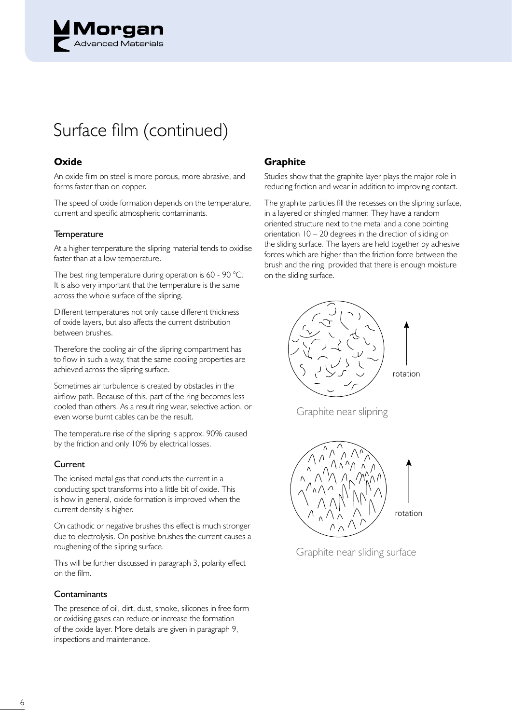

# Surface film (continued)

# **Oxide**

An oxide film on steel is more porous, more abrasive, and forms faster than on copper.

The speed of oxide formation depends on the temperature, current and specific atmospheric contaminants.

#### **Temperature**

At a higher temperature the slipring material tends to oxidise faster than at a low temperature.

The best ring temperature during operation is 60 - 90 °C. It is also very important that the temperature is the same across the whole surface of the slipring.

Different temperatures not only cause different thickness of oxide layers, but also affects the current distribution between brushes.

Therefore the cooling air of the slipring compartment has to flow in such a way, that the same cooling properties are achieved across the slipring surface.

Sometimes air turbulence is created by obstacles in the airflow path. Because of this, part of the ring becomes less cooled than others. As a result ring wear, selective action, or even worse burnt cables can be the result.

The temperature rise of the slipring is approx. 90% caused by the friction and only 10% by electrical losses.

#### Current

The ionised metal gas that conducts the current in a conducting spot transforms into a little bit of oxide. This is how in general, oxide formation is improved when the current density is higher.

On cathodic or negative brushes this effect is much stronger due to electrolysis. On positive brushes the current causes a roughening of the slipring surface.

This will be further discussed in paragraph 3, polarity effect on the film.

#### **Contaminants**

The presence of oil, dirt, dust, smoke, silicones in free form or oxidising gases can reduce or increase the formation of the oxide layer. More details are given in paragraph 9, inspections and maintenance.

#### **Graphite**

Studies show that the graphite layer plays the major role in reducing friction and wear in addition to improving contact.

The graphite particles fill the recesses on the slipring surface, in a layered or shingled manner. They have a random oriented structure next to the metal and a cone pointing orientation 10 – 20 degrees in the direction of sliding on the sliding surface. The layers are held together by adhesive forces which are higher than the friction force between the brush and the ring, provided that there is enough moisture on the sliding surface.



graphite near slipring Graphite near slipring



Graphite near sliding surface